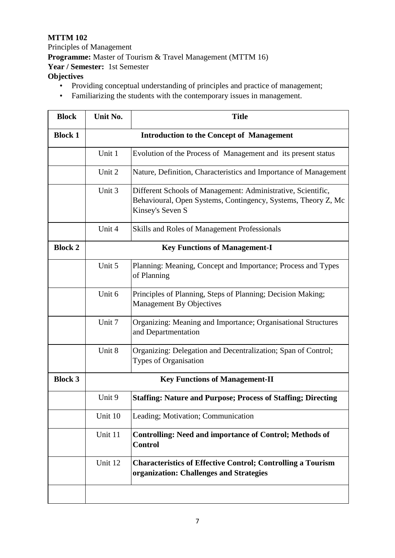## **MTTM 102**

Principles of Management **Programme:** Master of Tourism & Travel Management (MTTM 16) **Year / Semester:** 1st Semester **Objectives** 

- Providing conceptual understanding of principles and practice of management;
- Familiarizing the students with the contemporary issues in management.

| <b>Block</b>   | Unit No.                              | <b>Title</b>                                                                                                                                      |  |
|----------------|---------------------------------------|---------------------------------------------------------------------------------------------------------------------------------------------------|--|
| <b>Block 1</b> |                                       | <b>Introduction to the Concept of Management</b>                                                                                                  |  |
|                | Unit 1                                | Evolution of the Process of Management and its present status                                                                                     |  |
|                | Unit 2                                | Nature, Definition, Characteristics and Importance of Management                                                                                  |  |
|                | Unit 3                                | Different Schools of Management: Administrative, Scientific,<br>Behavioural, Open Systems, Contingency, Systems, Theory Z, Mc<br>Kinsey's Seven S |  |
|                | Unit 4                                | Skills and Roles of Management Professionals                                                                                                      |  |
| <b>Block 2</b> | <b>Key Functions of Management-I</b>  |                                                                                                                                                   |  |
|                | Unit 5                                | Planning: Meaning, Concept and Importance; Process and Types<br>of Planning                                                                       |  |
|                | Unit 6                                | Principles of Planning, Steps of Planning; Decision Making;<br><b>Management By Objectives</b>                                                    |  |
|                | Unit 7                                | Organizing: Meaning and Importance; Organisational Structures<br>and Departmentation                                                              |  |
|                | Unit 8                                | Organizing: Delegation and Decentralization; Span of Control;<br>Types of Organisation                                                            |  |
| <b>Block 3</b> | <b>Key Functions of Management-II</b> |                                                                                                                                                   |  |
|                | Unit 9                                | <b>Staffing: Nature and Purpose; Process of Staffing; Directing</b>                                                                               |  |
|                | Unit 10                               | Leading; Motivation; Communication                                                                                                                |  |
|                | Unit 11                               | <b>Controlling: Need and importance of Control; Methods of</b><br><b>Control</b>                                                                  |  |
|                | Unit 12                               | <b>Characteristics of Effective Control; Controlling a Tourism</b><br>organization: Challenges and Strategies                                     |  |
|                |                                       |                                                                                                                                                   |  |